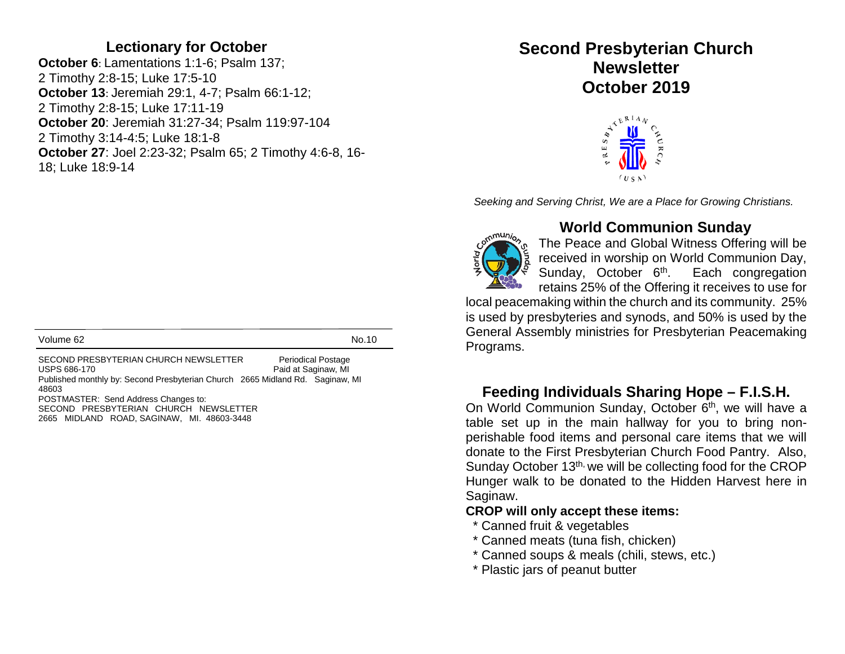#### **Lectionary for October**

**October 6**: Lamentations 1:1-6; Psalm 137; 2 Timothy 2:8-15; Luke 17:5-10 **October 13**: Jeremiah 29:1, 4-7; Psalm 66:1-12; 2 Timothy 2:8-15; Luke 17:11-19 **October 20**: Jeremiah 31:27-34; Psalm 119:97-104 2 Timothy 3:14-4:5; Luke 18:1-8 **October 27**: Joel 2:23-32; Psalm 65; 2 Timothy 4:6-8, 16- 18; Luke 18:9-14

Volume 62 No.10

SECOND PRESBYTERIAN CHURCH NEWSLETTER Periodical Postage<br>USPS 686-170 Paid at Saginaw. MI Paid at Saginaw, MI Published monthly by: Second Presbyterian Church 2665 Midland Rd. Saginaw, MI 48603 POSTMASTER: Send Address Changes to: SECOND PRESBYTERIAN CHURCH NEWSLETTER 2665 MIDLAND ROAD, SAGINAW, MI. 48603-3448

# **Second Presbyterian Church Newsletter October 2019**



*Seeking and Serving Christ, We are a Place for Growing Christians.*



#### **World Communion Sunday**

The Peace and Global Witness Offering will be received in worship on World Communion Day,<br>Sunday, October 6<sup>th</sup>. Each congregation Sunday, October 6<sup>th</sup>. retains 25% of the Offering it receives to use for

local peacemaking within the church and its community. 25% is used by presbyteries and synods, and 50% is used by the General Assembly ministries for Presbyterian Peacemaking Programs.

### **Feeding Individuals Sharing Hope – F.I.S.H.**

On World Communion Sunday, October 6<sup>th</sup>, we will have a table set up in the main hallway for you to bring nonperishable food items and personal care items that we will donate to the First Presbyterian Church Food Pantry. Also, Sunday October 13<sup>th,</sup> we will be collecting food for the CROP Hunger walk to be donated to the Hidden Harvest here in Saginaw.

#### **CROP will only accept these items:**

- \* Canned fruit & vegetables
- \* Canned meats (tuna fish, chicken)
- \* Canned soups & meals (chili, stews, etc.)
- \* Plastic jars of peanut butter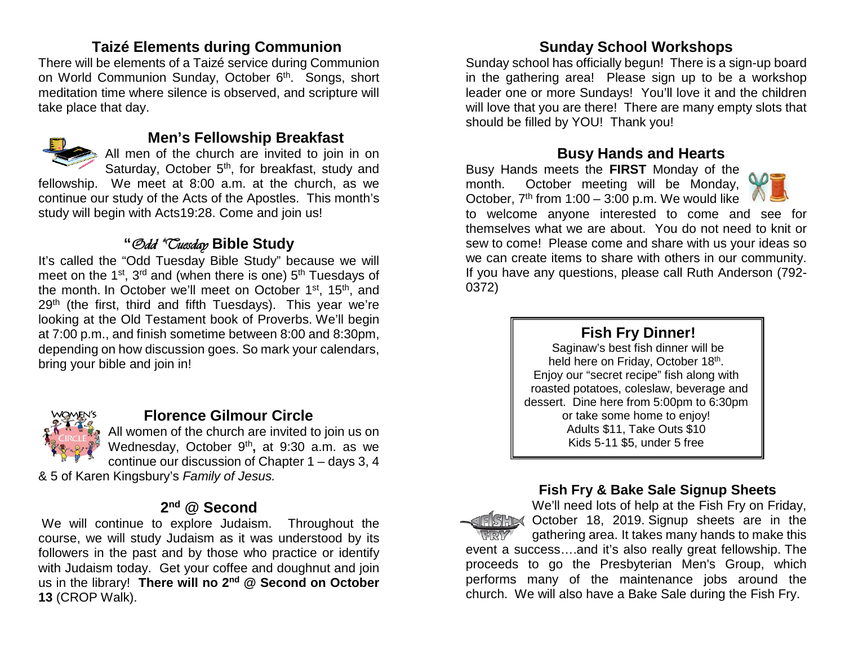### **Taizé Elements during Communion**

There will be elements of a Taizé service during Communion on World Communion Sunday, October 6<sup>th</sup>. Songs, short meditation time where silence is observed, and scripture will take place that day.



#### **Men's Fellowship Breakfast**

All men of the church are invited to join in on Saturday, October 5<sup>th</sup>, for breakfast, study and

fellowship. We meet at 8:00 a.m. at the church, as we continue our study of the Acts of the Apostles. This month's study will begin with Acts19:28. Come and join us!

# **"**Odd "Tuesday **Bible Study**

It's called the "Odd Tuesday Bible Study" because we will meet on the 1<sup>st</sup>, 3<sup>rd</sup> and (when there is one) 5<sup>th</sup> Tuesdays of the month. In October we'll meet on October 1<sup>st</sup>, 15<sup>th</sup>, and 29<sup>th</sup> (the first, third and fifth Tuesdays). This year we're looking at the Old Testament book of Proverbs. We'll begin at 7:00 p.m., and finish sometime between 8:00 and 8:30pm, depending on how discussion goes. So mark your calendars, bring your bible and join in!



### **Florence Gilmour Circle**

All women of the church are invited to join us on Wednesday, October 9<sup>th</sup>, at 9:30 a.m. as we continue our discussion of Chapter 1 – days 3, 4

& 5 of Karen Kingsbury's *Family of Jesus.*

### **2nd @ Second**

We will continue to explore Judaism. Throughout the course, we will study Judaism as it was understood by its followers in the past and by those who practice or identify with Judaism today. Get your coffee and doughnut and join us in the library! **There will no 2nd @ Second on October 13** (CROP Walk).

## **Sunday School Workshops**

Sunday school has officially begun! There is a sign-up board in the gathering area! Please sign up to be a workshop leader one or more Sundays! You'll love it and the children will love that you are there! There are many empty slots that should be filled by YOU! Thank you!

#### **Busy Hands and Hearts**

Busy Hands meets the **FIRST** Monday of the month. October meeting will be Monday, October,  $7<sup>th</sup>$  from 1:00 – 3:00 p.m. We would like



to welcome anyone interested to come and see for themselves what we are about. You do not need to knit or sew to come! Please come and share with us your ideas so we can create items to share with others in our community. If you have any questions, please call Ruth Anderson (792- 0372)

## **Fish Fry Dinner!**

Saginaw's best fish dinner will be held here on Friday, October 18<sup>th</sup>. Enjoy our "secret recipe" fish along with roasted potatoes, coleslaw, beverage and dessert. Dine here from 5:00pm to 6:30pm or take some home to enjoy! Adults \$11, Take Outs \$10 Kids 5-11 \$5, under 5 free

#### **Fish Fry & Bake Sale Signup Sheets**

We'll need lots of help at the Fish Fry on Friday, FISHING October 18, 2019 Signup sheets are in the gathering area. It takes many hands to make this event a success….and it's also really great fellowship. The proceeds to go the Presbyterian Men's Group, which performs many of the maintenance jobs around the church. We will also have a Bake Sale during the Fish Fry.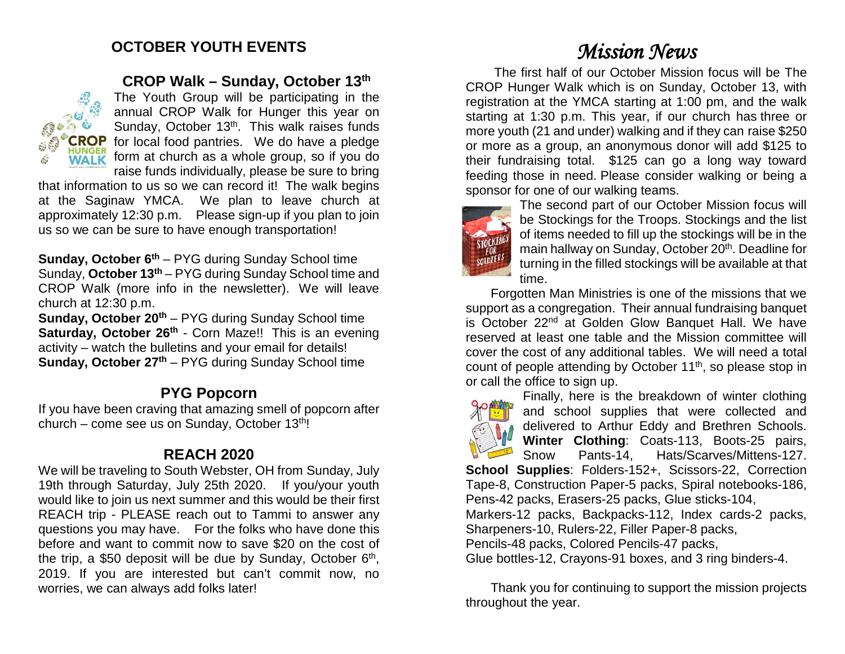# **OCTOBER YOUTH EVENTS**



#### **CROP Walk – Sunday, October 13th**

The Youth Group will be participating in the annual CROP Walk for Hunger this year on Sunday, October  $13<sup>th</sup>$ . This walk raises funds **CROP** for local food pantries. We do have a pledge  $\frac{1000 \text{c}}{1000 \text{c}}$  form at church as a whole group, so if you do raise funds individually, please be sure to bring

that information to us so we can record it! The walk begins at the Saginaw YMCA. We plan to leave church at approximately 12:30 p.m. Please sign-up if you plan to join us so we can be sure to have enough transportation!

**Sunday, October 6<sup>th</sup>** – PYG during Sunday School time Sunday, **October 13th** – PYG during Sunday School time and CROP Walk (more info in the newsletter). We will leave church at 12:30 p.m.

**Sunday, October 20<sup>th</sup>** – PYG during Sunday School time **Saturday, October 26th - Corn Maze!!** This is an evening activity – watch the bulletins and your email for details! **Sunday, October 27<sup>th</sup>** – PYG during Sunday School time

#### **PYG Popcorn**

If you have been craving that amazing smell of popcorn after church – come see us on Sunday, October  $13<sup>th</sup>$ !

### **REACH 2020**

We will be traveling to South Webster, OH from Sunday, July 19th through Saturday, July 25th 2020. If you/your youth would like to join us next summer and this would be their first REACH trip - PLEASE reach out to Tammi to answer any questions you may have. For the folks who have done this before and want to commit now to save \$20 on the cost of the trip, a \$50 deposit will be due by Sunday, October 6<sup>th</sup>, 2019. If you are interested but can't commit now, no worries, we can always add folks later!

# *Mission News*

The first half of our October Mission focus will be The CROP Hunger Walk which is on Sunday, October 13, with registration at the YMCA starting at 1:00 pm, and the walk starting at 1:30 p.m. This year, if our church has three or more youth (21 and under) walking and if they can raise \$250 or more as a group, an anonymous donor will add \$125 to their fundraising total. \$125 can go a long way toward feeding those in need. Please consider walking or being a sponsor for one of our walking teams.



The second part of our October Mission focus will be Stockings for the Troops. Stockings and the list of items needed to fill up the stockings will be in the main hallway on Sunday, October 20<sup>th</sup>. Deadline for turning in the filled stockings will be available at that time.

 Forgotten Man Ministries is one of the missions that we support as a congregation. Their annual fundraising banquet is October 22<sup>nd</sup> at Golden Glow Banquet Hall. We have reserved at least one table and the Mission committee will cover the cost of any additional tables. We will need a total count of people attending by October 11<sup>th</sup>, so please stop in or call the office to sign up.



Finally, here is the breakdown of winter clothing and school supplies that were collected and delivered to Arthur Eddy and Brethren Schools. **Winter Clothing**: Coats-113, Boots-25 pairs, Snow Pants-14, Hats/Scarves/Mittens-127.

**School Supplies**: Folders-152+, Scissors-22, Correction Tape-8, Construction Paper-5 packs, Spiral notebooks-186, Pens-42 packs, Erasers-25 packs, Glue sticks-104,

Markers-12 packs, Backpacks-112, Index cards-2 packs, Sharpeners-10, Rulers-22, Filler Paper-8 packs,

Pencils-48 packs, Colored Pencils-47 packs,

Glue bottles-12, Crayons-91 boxes, and 3 ring binders-4.

 Thank you for continuing to support the mission projects throughout the year.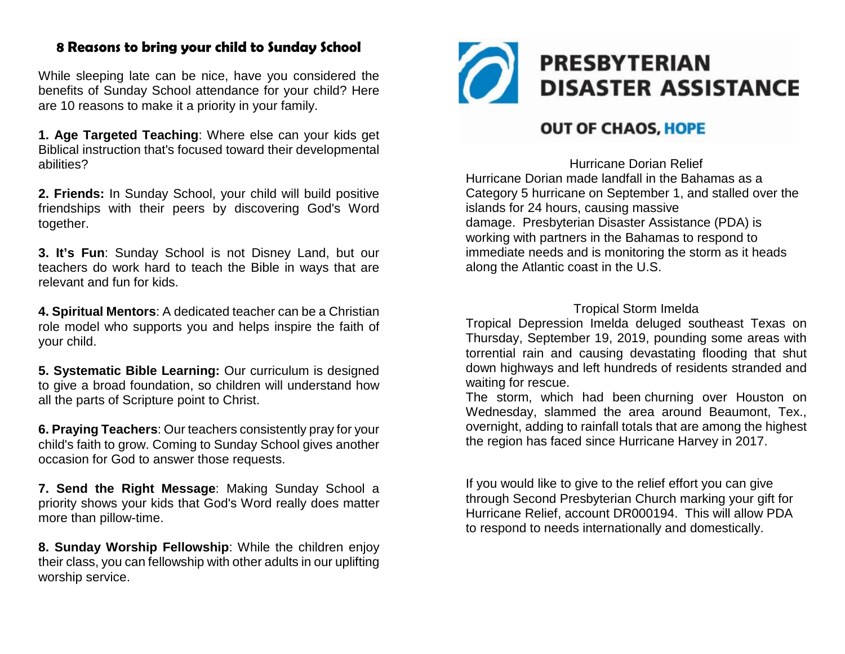#### **8 Reasons to bring your child to Sunday School**

While sleeping late can be nice, have you considered the benefits of Sunday School attendance for your child? Here are 10 reasons to make it a priority in your family.

**1. Age Targeted Teaching**: Where else can your kids get Biblical instruction that's focused toward their developmental abilities?

**2. Friends:** In Sunday School, your child will build positive friendships with their peers by discovering God's Word together.

**3. It's Fun**: Sunday School is not Disney Land, but our teachers do work hard to teach the Bible in ways that are relevant and fun for kids.

**4. Spiritual Mentors**: A dedicated teacher can be a Christian role model who supports you and helps inspire the faith of your child.

**5. Systematic Bible Learning:** Our curriculum is designed to give a broad foundation, so children will understand how all the parts of Scripture point to Christ.

**6. Praying Teachers**: Our teachers consistently pray for your child's faith to grow. Coming to Sunday School gives another occasion for God to answer those requests.

**7. Send the Right Message**: Making Sunday School a priority shows your kids that God's Word really does matter more than pillow-time.

**8. Sunday Worship Fellowship**: While the children enjoy their class, you can fellowship with other adults in our uplifting worship service.



# **OUT OF CHAOS, HOPE**

Hurricane Dorian Relief Hurricane Dorian made landfall in the Bahamas as a Category 5 hurricane on September 1, and stalled over the islands for 24 hours, causing massive damage. Presbyterian Disaster Assistance (PDA) is working with partners in the Bahamas to respond to immediate needs and is monitoring the storm as it heads along the Atlantic coast in the U.S.

#### Tropical Storm Imelda

Tropical Depression Imelda deluged southeast Texas on Thursday, September 19, 2019, pounding some areas with torrential rain and causing devastating flooding that shut down highways and left hundreds of residents stranded and waiting for rescue.

The storm, which had been [churning](https://www.nytimes.com/2019/09/17/us/tropical-storm-imelda-houston.html?module=inline) over Houston on [Wednesday,](https://www.nytimes.com/2019/09/17/us/tropical-storm-imelda-houston.html?module=inline) slammed the area around Beaumont, Tex., overnight, adding to rainfall totals that are among the highest the region has faced since Hurricane Harvey in 2017.

If you would like to give to the relief effort you can give through Second Presbyterian Church marking your gift for Hurricane Relief, account DR000194. This will allow PDA to respond to needs internationally and domestically.